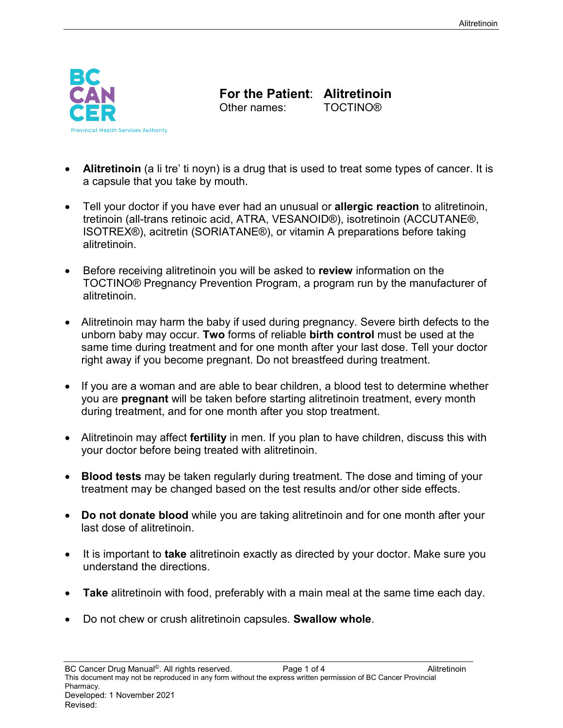

**For the Patient**: **Alitretinoin** Other names:

• **Alitretinoin** (a li tre' ti noyn) is a drug that is used to treat some types of cancer. It is a capsule that you take by mouth.

- Tell your doctor if you have ever had an unusual or **allergic reaction** to alitretinoin, tretinoin (all-trans retinoic acid, ATRA, VESANOID®), isotretinoin (ACCUTANE®, ISOTREX®), acitretin (SORIATANE®), or vitamin A preparations before taking alitretinoin.
- Before receiving alitretinoin you will be asked to **review** information on the TOCTINO® Pregnancy Prevention Program, a program run by the manufacturer of alitretinoin.
- Alitretinoin may harm the baby if used during pregnancy. Severe birth defects to the unborn baby may occur. **Two** forms of reliable **birth control** must be used at the same time during treatment and for one month after your last dose. Tell your doctor right away if you become pregnant. Do not breastfeed during treatment.
- If you are a woman and are able to bear children, a blood test to determine whether you are **pregnant** will be taken before starting alitretinoin treatment, every month during treatment, and for one month after you stop treatment.
- Alitretinoin may affect **fertility** in men. If you plan to have children, discuss this with your doctor before being treated with alitretinoin.
- **Blood tests** may be taken regularly during treatment. The dose and timing of your treatment may be changed based on the test results and/or other side effects.
- **Do not donate blood** while you are taking alitretinoin and for one month after your last dose of alitretinoin.
- It is important to **take** alitretinoin exactly as directed by your doctor. Make sure you understand the directions.
- **Take** alitretinoin with food, preferably with a main meal at the same time each day.
- Do not chew or crush alitretinoin capsules. **Swallow whole**.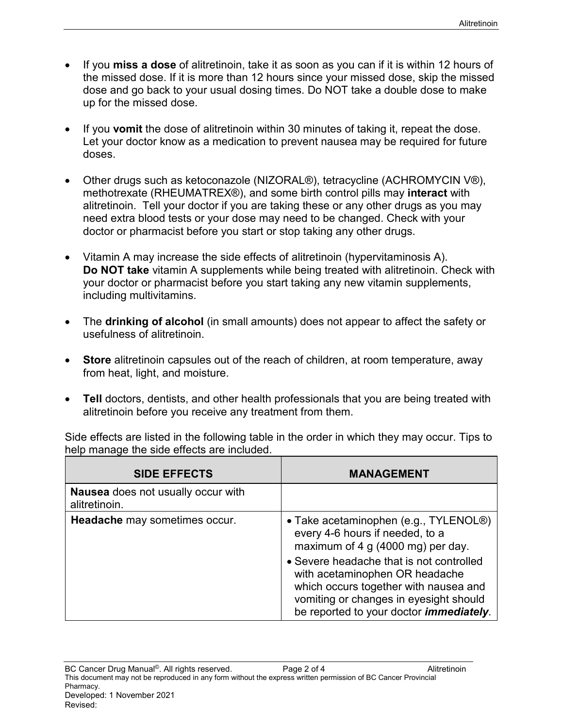- If you **miss a dose** of alitretinoin, take it as soon as you can if it is within 12 hours of the missed dose. If it is more than 12 hours since your missed dose, skip the missed dose and go back to your usual dosing times. Do NOT take a double dose to make up for the missed dose.
- If you **vomit** the dose of alitretinoin within 30 minutes of taking it, repeat the dose. Let your doctor know as a medication to prevent nausea may be required for future doses.
- Other drugs such as ketoconazole (NIZORAL®), tetracycline (ACHROMYCIN V®), methotrexate (RHEUMATREX®), and some birth control pills may **interact** with alitretinoin. Tell your doctor if you are taking these or any other drugs as you may need extra blood tests or your dose may need to be changed. Check with your doctor or pharmacist before you start or stop taking any other drugs.
- Vitamin A may increase the side effects of alitretinoin (hypervitaminosis A). **Do NOT take** vitamin A supplements while being treated with alitretinoin. Check with your doctor or pharmacist before you start taking any new vitamin supplements, including multivitamins.
- The **drinking of alcohol** (in small amounts) does not appear to affect the safety or usefulness of alitretinoin.
- **Store** alitretinoin capsules out of the reach of children, at room temperature, away from heat, light, and moisture.
- **Tell** doctors, dentists, and other health professionals that you are being treated with alitretinoin before you receive any treatment from them.

Side effects are listed in the following table in the order in which they may occur. Tips to help manage the side effects are included.

| <b>SIDE EFFECTS</b>                                        | <b>MANAGEMENT</b>                                                                                                                                                                                                                                                                                                                              |
|------------------------------------------------------------|------------------------------------------------------------------------------------------------------------------------------------------------------------------------------------------------------------------------------------------------------------------------------------------------------------------------------------------------|
| <b>Nausea</b> does not usually occur with<br>alitretinoin. |                                                                                                                                                                                                                                                                                                                                                |
| Headache may sometimes occur.                              | • Take acetaminophen (e.g., TYLENOL <sup>®</sup> )<br>every 4-6 hours if needed, to a<br>maximum of 4 g (4000 mg) per day.<br>• Severe headache that is not controlled<br>with acetaminophen OR headache<br>which occurs together with nausea and<br>vomiting or changes in eyesight should<br>be reported to your doctor <i>immediately</i> . |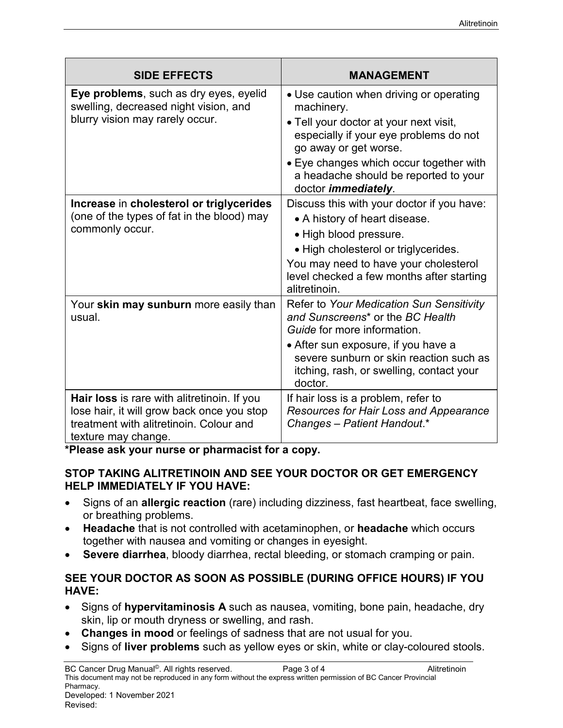| <b>SIDE EFFECTS</b>                                                                                                                                         | <b>MANAGEMENT</b>                                                                                                                                                                                                                                                                   |
|-------------------------------------------------------------------------------------------------------------------------------------------------------------|-------------------------------------------------------------------------------------------------------------------------------------------------------------------------------------------------------------------------------------------------------------------------------------|
| Eye problems, such as dry eyes, eyelid<br>swelling, decreased night vision, and<br>blurry vision may rarely occur.                                          | • Use caution when driving or operating<br>machinery.<br>• Tell your doctor at your next visit,<br>especially if your eye problems do not<br>go away or get worse.<br>• Eye changes which occur together with<br>a headache should be reported to your                              |
| Increase in cholesterol or triglycerides<br>(one of the types of fat in the blood) may<br>commonly occur.                                                   | doctor <i>immediately</i> .<br>Discuss this with your doctor if you have:<br>• A history of heart disease.<br>• High blood pressure.<br>· High cholesterol or triglycerides.<br>You may need to have your cholesterol<br>level checked a few months after starting<br>alitretinoin. |
| Your skin may sunburn more easily than<br>usual.                                                                                                            | Refer to Your Medication Sun Sensitivity<br>and Sunscreens <sup>*</sup> or the BC Health<br>Guide for more information.<br>• After sun exposure, if you have a<br>severe sunburn or skin reaction such as<br>itching, rash, or swelling, contact your<br>doctor.                    |
| Hair loss is rare with alitretinoin. If you<br>lose hair, it will grow back once you stop<br>treatment with alitretinoin. Colour and<br>texture may change. | If hair loss is a problem, refer to<br>Resources for Hair Loss and Appearance<br>Changes - Patient Handout.*                                                                                                                                                                        |

**\*Please ask your nurse or pharmacist for a copy.**

## **STOP TAKING ALITRETINOIN AND SEE YOUR DOCTOR OR GET EMERGENCY HELP IMMEDIATELY IF YOU HAVE:**

- Signs of an **allergic reaction** (rare) including dizziness, fast heartbeat, face swelling, or breathing problems.
- **Headache** that is not controlled with acetaminophen, or **headache** which occurs together with nausea and vomiting or changes in eyesight.
- **Severe diarrhea**, bloody diarrhea, rectal bleeding, or stomach cramping or pain.

## **SEE YOUR DOCTOR AS SOON AS POSSIBLE (DURING OFFICE HOURS) IF YOU HAVE:**

- Signs of **hypervitaminosis A** such as nausea, vomiting, bone pain, headache, dry skin, lip or mouth dryness or swelling, and rash.
- **Changes in mood** or feelings of sadness that are not usual for you.
- Signs of **liver problems** such as yellow eyes or skin, white or clay-coloured stools.